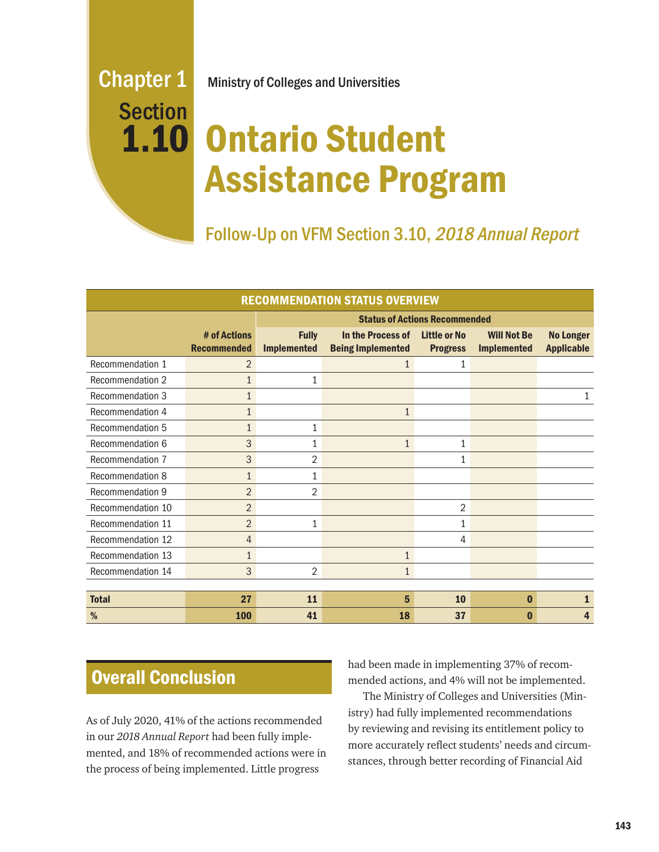# Section 1.10

# Chapter 1 Ministry of Colleges and Universities

# Ontario Student Assistance Program

Follow-Up on VFM Section 3.10, 2018 Annual Report

| <b>RECOMMENDATION STATUS OVERVIEW</b> |                                    |                                      |                                               |                                        |                                          |                                       |
|---------------------------------------|------------------------------------|--------------------------------------|-----------------------------------------------|----------------------------------------|------------------------------------------|---------------------------------------|
|                                       |                                    | <b>Status of Actions Recommended</b> |                                               |                                        |                                          |                                       |
|                                       | # of Actions<br><b>Recommended</b> | <b>Fully</b><br><b>Implemented</b>   | In the Process of<br><b>Being Implemented</b> | <b>Little or No</b><br><b>Progress</b> | <b>Will Not Be</b><br><b>Implemented</b> | <b>No Longer</b><br><b>Applicable</b> |
| Recommendation 1                      | $\overline{2}$                     |                                      | $\mathbf{1}$                                  | 1                                      |                                          |                                       |
| Recommendation 2                      | $\mathbf{1}$                       | 1                                    |                                               |                                        |                                          |                                       |
| <b>Recommendation 3</b>               | $\mathbf{1}$                       |                                      |                                               |                                        |                                          | 1                                     |
| Recommendation 4                      | $\mathbf{1}$                       |                                      | $\mathbf{1}$                                  |                                        |                                          |                                       |
| <b>Recommendation 5</b>               | $\mathbf{1}$                       | 1                                    |                                               |                                        |                                          |                                       |
| Recommendation 6                      | 3                                  | 1                                    | $\mathbf{1}$                                  | $\mathbf{1}$                           |                                          |                                       |
| Recommendation 7                      | 3                                  | 2                                    |                                               | $\mathbf{1}$                           |                                          |                                       |
| Recommendation 8                      | $\mathbf{1}$                       | 1                                    |                                               |                                        |                                          |                                       |
| Recommendation 9                      | $\overline{2}$                     | 2                                    |                                               |                                        |                                          |                                       |
| Recommendation 10                     | $\overline{2}$                     |                                      |                                               | $\overline{2}$                         |                                          |                                       |
| Recommendation 11                     | $\overline{2}$                     | 1                                    |                                               | 1                                      |                                          |                                       |
| Recommendation 12                     | $\overline{4}$                     |                                      |                                               | 4                                      |                                          |                                       |
| Recommendation 13                     | 1                                  |                                      | $\mathbf{1}$                                  |                                        |                                          |                                       |
| Recommendation 14                     | 3                                  | $\overline{2}$                       | $\mathbf{1}$                                  |                                        |                                          |                                       |
|                                       |                                    |                                      |                                               |                                        |                                          |                                       |
| <b>Total</b>                          | 27                                 | 11                                   | 5                                             | 10                                     | $\bf{0}$                                 |                                       |
| %                                     | <b>100</b>                         | 41                                   | 18                                            | 37                                     | በ                                        | 4                                     |

# Overall Conclusion

As of July 2020, 41% of the actions recommended in our *2018 Annual Report* had been fully implemented, and 18% of recommended actions were in the process of being implemented. Little progress

had been made in implementing 37% of recommended actions, and 4% will not be implemented.

The Ministry of Colleges and Universities (Ministry) had fully implemented recommendations by reviewing and revising its entitlement policy to more accurately reflect students' needs and circumstances, through better recording of Financial Aid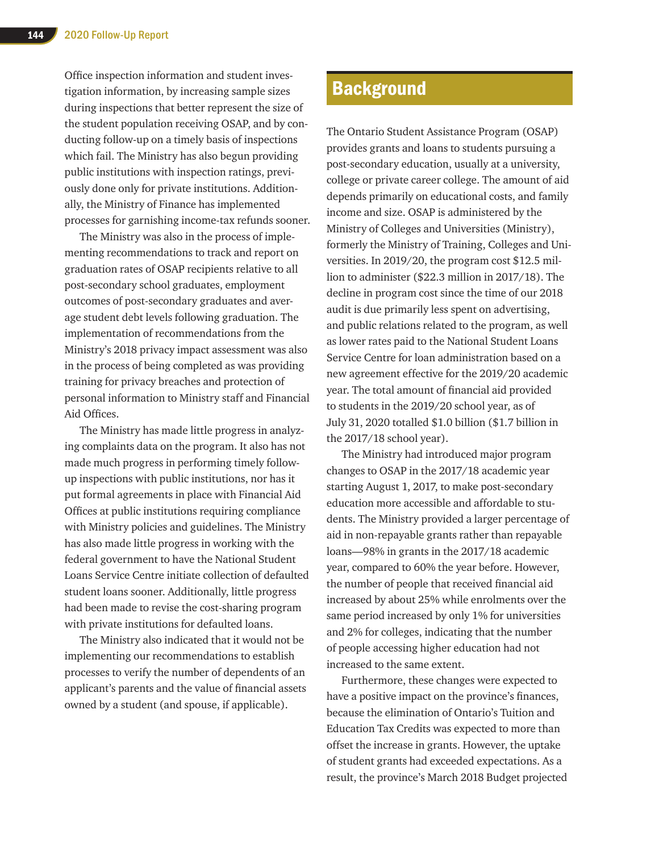Office inspection information and student investigation information, by increasing sample sizes during inspections that better represent the size of the student population receiving OSAP, and by conducting follow-up on a timely basis of inspections which fail. The Ministry has also begun providing public institutions with inspection ratings, previously done only for private institutions. Additionally, the Ministry of Finance has implemented processes for garnishing income-tax refunds sooner.

The Ministry was also in the process of implementing recommendations to track and report on graduation rates of OSAP recipients relative to all post-secondary school graduates, employment outcomes of post-secondary graduates and average student debt levels following graduation. The implementation of recommendations from the Ministry's 2018 privacy impact assessment was also in the process of being completed as was providing training for privacy breaches and protection of personal information to Ministry staff and Financial Aid Offices.

The Ministry has made little progress in analyzing complaints data on the program. It also has not made much progress in performing timely followup inspections with public institutions, nor has it put formal agreements in place with Financial Aid Offices at public institutions requiring compliance with Ministry policies and guidelines. The Ministry has also made little progress in working with the federal government to have the National Student Loans Service Centre initiate collection of defaulted student loans sooner. Additionally, little progress had been made to revise the cost-sharing program with private institutions for defaulted loans.

The Ministry also indicated that it would not be implementing our recommendations to establish processes to verify the number of dependents of an applicant's parents and the value of financial assets owned by a student (and spouse, if applicable).

# **Background**

The Ontario Student Assistance Program (OSAP) provides grants and loans to students pursuing a post-secondary education, usually at a university, college or private career college. The amount of aid depends primarily on educational costs, and family income and size. OSAP is administered by the Ministry of Colleges and Universities (Ministry), formerly the Ministry of Training, Colleges and Universities. In 2019/20, the program cost \$12.5 million to administer (\$22.3 million in 2017/18). The decline in program cost since the time of our 2018 audit is due primarily less spent on advertising, and public relations related to the program, as well as lower rates paid to the National Student Loans Service Centre for loan administration based on a new agreement effective for the 2019/20 academic year. The total amount of financial aid provided to students in the 2019/20 school year, as of July 31, 2020 totalled \$1.0 billion (\$1.7 billion in the 2017/18 school year).

The Ministry had introduced major program changes to OSAP in the 2017/18 academic year starting August 1, 2017, to make post-secondary education more accessible and affordable to students. The Ministry provided a larger percentage of aid in non-repayable grants rather than repayable loans—98% in grants in the 2017/18 academic year, compared to 60% the year before. However, the number of people that received financial aid increased by about 25% while enrolments over the same period increased by only 1% for universities and 2% for colleges, indicating that the number of people accessing higher education had not increased to the same extent.

Furthermore, these changes were expected to have a positive impact on the province's finances, because the elimination of Ontario's Tuition and Education Tax Credits was expected to more than offset the increase in grants. However, the uptake of student grants had exceeded expectations. As a result, the province's March 2018 Budget projected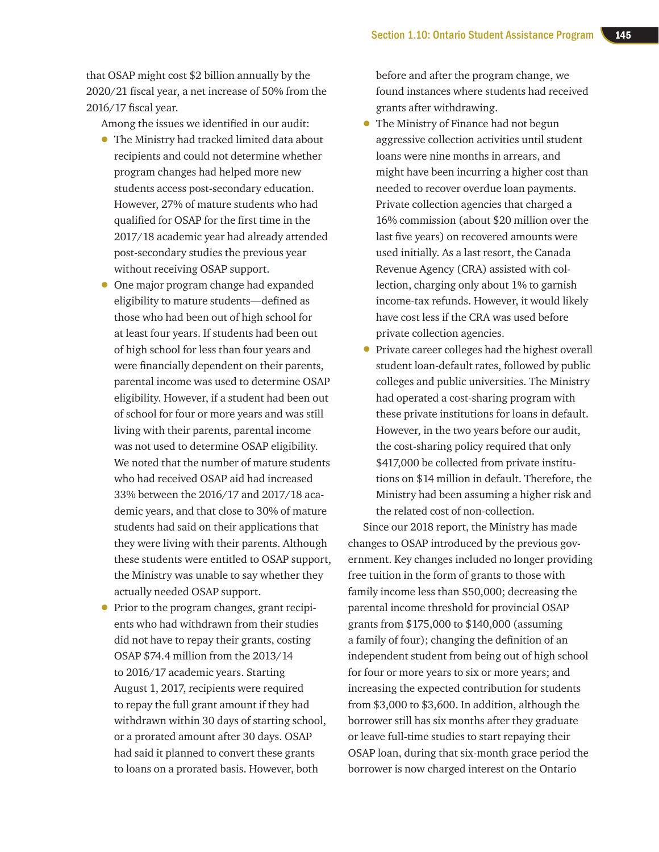that OSAP might cost \$2 billion annually by the 2020/21 fiscal year, a net increase of 50% from the 2016/17 fiscal year.

Among the issues we identified in our audit:

- The Ministry had tracked limited data about recipients and could not determine whether program changes had helped more new students access post-secondary education. However, 27% of mature students who had qualified for OSAP for the first time in the 2017/18 academic year had already attended post-secondary studies the previous year without receiving OSAP support.
- One major program change had expanded eligibility to mature students—defined as those who had been out of high school for at least four years. If students had been out of high school for less than four years and were financially dependent on their parents, parental income was used to determine OSAP eligibility. However, if a student had been out of school for four or more years and was still living with their parents, parental income was not used to determine OSAP eligibility. We noted that the number of mature students who had received OSAP aid had increased 33% between the 2016/17 and 2017/18 academic years, and that close to 30% of mature students had said on their applications that they were living with their parents. Although these students were entitled to OSAP support, the Ministry was unable to say whether they actually needed OSAP support.
- Prior to the program changes, grant recipients who had withdrawn from their studies did not have to repay their grants, costing OSAP \$74.4 million from the 2013/14 to 2016/17 academic years. Starting August 1, 2017, recipients were required to repay the full grant amount if they had withdrawn within 30 days of starting school, or a prorated amount after 30 days. OSAP had said it planned to convert these grants to loans on a prorated basis. However, both

before and after the program change, we found instances where students had received grants after withdrawing.

- The Ministry of Finance had not begun aggressive collection activities until student loans were nine months in arrears, and might have been incurring a higher cost than needed to recover overdue loan payments. Private collection agencies that charged a 16% commission (about \$20 million over the last five years) on recovered amounts were used initially. As a last resort, the Canada Revenue Agency (CRA) assisted with collection, charging only about 1% to garnish income-tax refunds. However, it would likely have cost less if the CRA was used before private collection agencies.
- Private career colleges had the highest overall student loan-default rates, followed by public colleges and public universities. The Ministry had operated a cost-sharing program with these private institutions for loans in default. However, in the two years before our audit, the cost-sharing policy required that only \$417,000 be collected from private institutions on \$14 million in default. Therefore, the Ministry had been assuming a higher risk and the related cost of non-collection.

Since our 2018 report, the Ministry has made changes to OSAP introduced by the previous government. Key changes included no longer providing free tuition in the form of grants to those with family income less than \$50,000; decreasing the parental income threshold for provincial OSAP grants from \$175,000 to \$140,000 (assuming a family of four); changing the definition of an independent student from being out of high school for four or more years to six or more years; and increasing the expected contribution for students from \$3,000 to \$3,600. In addition, although the borrower still has six months after they graduate or leave full-time studies to start repaying their OSAP loan, during that six-month grace period the borrower is now charged interest on the Ontario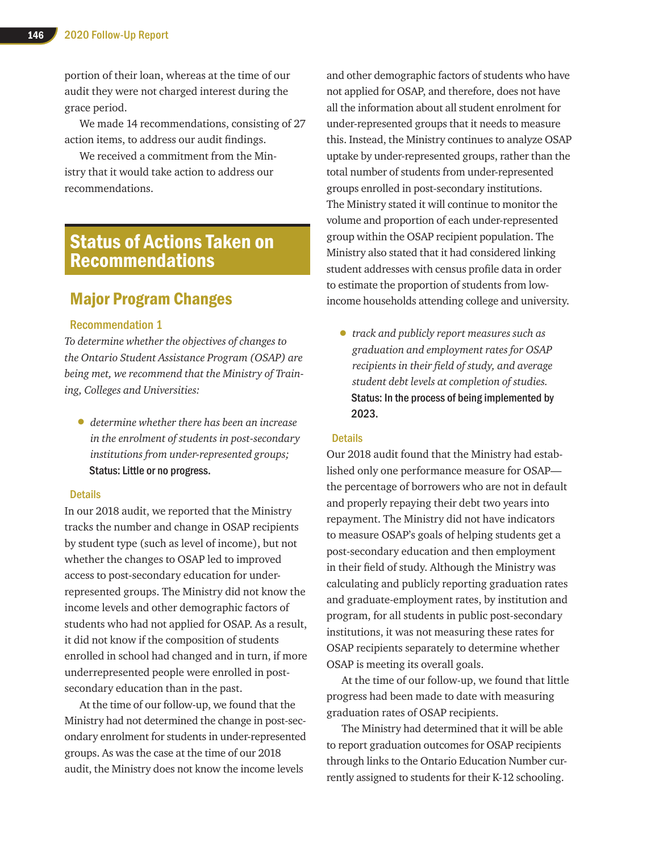portion of their loan, whereas at the time of our audit they were not charged interest during the grace period.

We made 14 recommendations, consisting of 27 action items, to address our audit findings.

We received a commitment from the Ministry that it would take action to address our recommendations.

# Status of Actions Taken on Recommendations

## Major Program Changes

#### Recommendation 1

*To determine whether the objectives of changes to the Ontario Student Assistance Program (OSAP) are being met, we recommend that the Ministry of Training, Colleges and Universities:* 

• *determine whether there has been an increase in the enrolment of students in post-secondary institutions from under-represented groups;*  Status: Little or no progress.

#### **Details**

In our 2018 audit, we reported that the Ministry tracks the number and change in OSAP recipients by student type (such as level of income), but not whether the changes to OSAP led to improved access to post-secondary education for underrepresented groups. The Ministry did not know the income levels and other demographic factors of students who had not applied for OSAP. As a result, it did not know if the composition of students enrolled in school had changed and in turn, if more underrepresented people were enrolled in postsecondary education than in the past.

At the time of our follow-up, we found that the Ministry had not determined the change in post-secondary enrolment for students in under-represented groups. As was the case at the time of our 2018 audit, the Ministry does not know the income levels

and other demographic factors of students who have not applied for OSAP, and therefore, does not have all the information about all student enrolment for under-represented groups that it needs to measure this. Instead, the Ministry continues to analyze OSAP uptake by under-represented groups, rather than the total number of students from under-represented groups enrolled in post-secondary institutions. The Ministry stated it will continue to monitor the volume and proportion of each under-represented group within the OSAP recipient population. The Ministry also stated that it had considered linking student addresses with census profile data in order to estimate the proportion of students from lowincome households attending college and university.

• *track and publicly report measures such as graduation and employment rates for OSAP recipients in their field of study, and average student debt levels at completion of studies.*  Status: In the process of being implemented by 2023.

#### **Details**

Our 2018 audit found that the Ministry had established only one performance measure for OSAP the percentage of borrowers who are not in default and properly repaying their debt two years into repayment. The Ministry did not have indicators to measure OSAP's goals of helping students get a post-secondary education and then employment in their field of study. Although the Ministry was calculating and publicly reporting graduation rates and graduate-employment rates, by institution and program, for all students in public post-secondary institutions, it was not measuring these rates for OSAP recipients separately to determine whether OSAP is meeting its overall goals.

At the time of our follow-up, we found that little progress had been made to date with measuring graduation rates of OSAP recipients.

The Ministry had determined that it will be able to report graduation outcomes for OSAP recipients through links to the Ontario Education Number currently assigned to students for their K-12 schooling.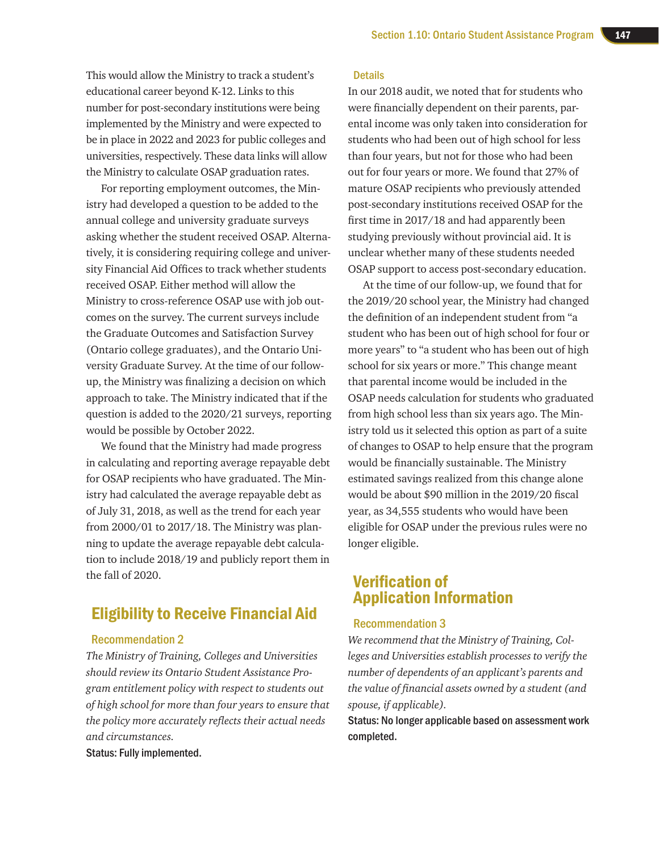This would allow the Ministry to track a student's educational career beyond K-12. Links to this number for post-secondary institutions were being implemented by the Ministry and were expected to be in place in 2022 and 2023 for public colleges and universities, respectively. These data links will allow the Ministry to calculate OSAP graduation rates.

For reporting employment outcomes, the Ministry had developed a question to be added to the annual college and university graduate surveys asking whether the student received OSAP. Alternatively, it is considering requiring college and university Financial Aid Offices to track whether students received OSAP. Either method will allow the Ministry to cross-reference OSAP use with job outcomes on the survey. The current surveys include the Graduate Outcomes and Satisfaction Survey (Ontario college graduates), and the Ontario University Graduate Survey. At the time of our followup, the Ministry was finalizing a decision on which approach to take. The Ministry indicated that if the question is added to the 2020/21 surveys, reporting would be possible by October 2022.

We found that the Ministry had made progress in calculating and reporting average repayable debt for OSAP recipients who have graduated. The Ministry had calculated the average repayable debt as of July 31, 2018, as well as the trend for each year from 2000/01 to 2017/18. The Ministry was planning to update the average repayable debt calculation to include 2018/19 and publicly report them in the fall of 2020.

# Eligibility to Receive Financial Aid

#### Recommendation 2

*The Ministry of Training, Colleges and Universities should review its Ontario Student Assistance Program entitlement policy with respect to students out of high school for more than four years to ensure that the policy more accurately reflects their actual needs and circumstances.*

Status: Fully implemented.

#### **Details**

In our 2018 audit, we noted that for students who were financially dependent on their parents, parental income was only taken into consideration for students who had been out of high school for less than four years, but not for those who had been out for four years or more. We found that 27% of mature OSAP recipients who previously attended post-secondary institutions received OSAP for the first time in 2017/18 and had apparently been studying previously without provincial aid. It is unclear whether many of these students needed OSAP support to access post-secondary education.

At the time of our follow-up, we found that for the 2019/20 school year, the Ministry had changed the definition of an independent student from "a student who has been out of high school for four or more years" to "a student who has been out of high school for six years or more." This change meant that parental income would be included in the OSAP needs calculation for students who graduated from high school less than six years ago. The Ministry told us it selected this option as part of a suite of changes to OSAP to help ensure that the program would be financially sustainable. The Ministry estimated savings realized from this change alone would be about \$90 million in the 2019/20 fiscal year, as 34,555 students who would have been eligible for OSAP under the previous rules were no longer eligible.

### Verification of Application Information

#### Recommendation 3

*We recommend that the Ministry of Training, Colleges and Universities establish processes to verify the number of dependents of an applicant's parents and the value of financial assets owned by a student (and spouse, if applicable).*

Status: No longer applicable based on assessment work completed.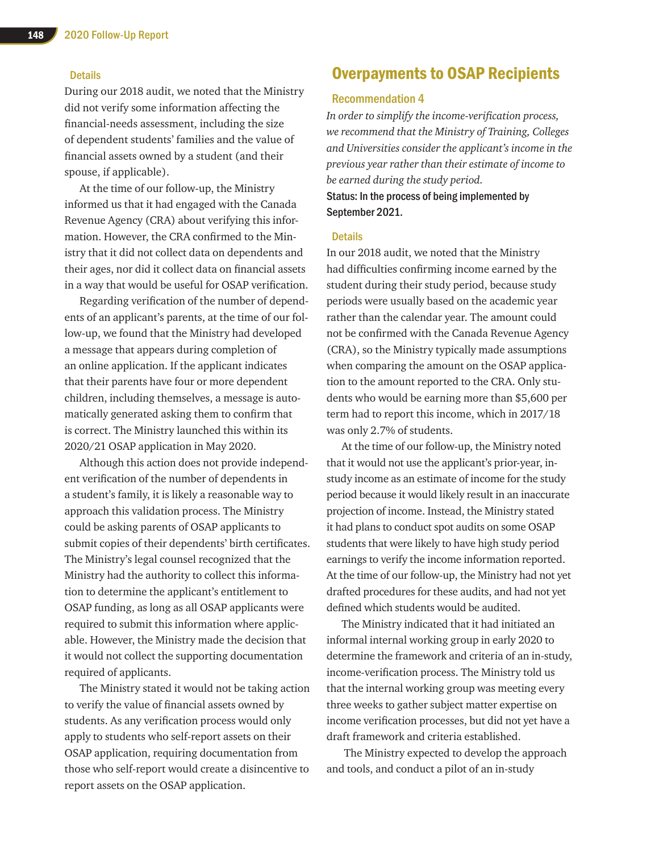#### **Details**

During our 2018 audit, we noted that the Ministry did not verify some information affecting the financial-needs assessment, including the size of dependent students' families and the value of financial assets owned by a student (and their spouse, if applicable).

At the time of our follow-up, the Ministry informed us that it had engaged with the Canada Revenue Agency (CRA) about verifying this information. However, the CRA confirmed to the Ministry that it did not collect data on dependents and their ages, nor did it collect data on financial assets in a way that would be useful for OSAP verification.

Regarding verification of the number of dependents of an applicant's parents, at the time of our follow-up, we found that the Ministry had developed a message that appears during completion of an online application. If the applicant indicates that their parents have four or more dependent children, including themselves, a message is automatically generated asking them to confirm that is correct. The Ministry launched this within its 2020/21 OSAP application in May 2020.

Although this action does not provide independent verification of the number of dependents in a student's family, it is likely a reasonable way to approach this validation process. The Ministry could be asking parents of OSAP applicants to submit copies of their dependents' birth certificates. The Ministry's legal counsel recognized that the Ministry had the authority to collect this information to determine the applicant's entitlement to OSAP funding, as long as all OSAP applicants were required to submit this information where applicable. However, the Ministry made the decision that it would not collect the supporting documentation required of applicants.

The Ministry stated it would not be taking action to verify the value of financial assets owned by students. As any verification process would only apply to students who self-report assets on their OSAP application, requiring documentation from those who self-report would create a disincentive to report assets on the OSAP application.

# Overpayments to OSAP Recipients

#### Recommendation 4

*In order to simplify the income-verification process, we recommend that the Ministry of Training, Colleges and Universities consider the applicant's income in the previous year rather than their estimate of income to be earned during the study period.* Status: In the process of being implemented by September 2021.

#### **Details**

In our 2018 audit, we noted that the Ministry had difficulties confirming income earned by the student during their study period, because study periods were usually based on the academic year rather than the calendar year. The amount could not be confirmed with the Canada Revenue Agency (CRA), so the Ministry typically made assumptions when comparing the amount on the OSAP application to the amount reported to the CRA. Only students who would be earning more than \$5,600 per term had to report this income, which in 2017/18 was only 2.7% of students.

At the time of our follow-up, the Ministry noted that it would not use the applicant's prior-year, instudy income as an estimate of income for the study period because it would likely result in an inaccurate projection of income. Instead, the Ministry stated it had plans to conduct spot audits on some OSAP students that were likely to have high study period earnings to verify the income information reported. At the time of our follow-up, the Ministry had not yet drafted procedures for these audits, and had not yet defined which students would be audited.

The Ministry indicated that it had initiated an informal internal working group in early 2020 to determine the framework and criteria of an in-study, income-verification process. The Ministry told us that the internal working group was meeting every three weeks to gather subject matter expertise on income verification processes, but did not yet have a draft framework and criteria established.

 The Ministry expected to develop the approach and tools, and conduct a pilot of an in-study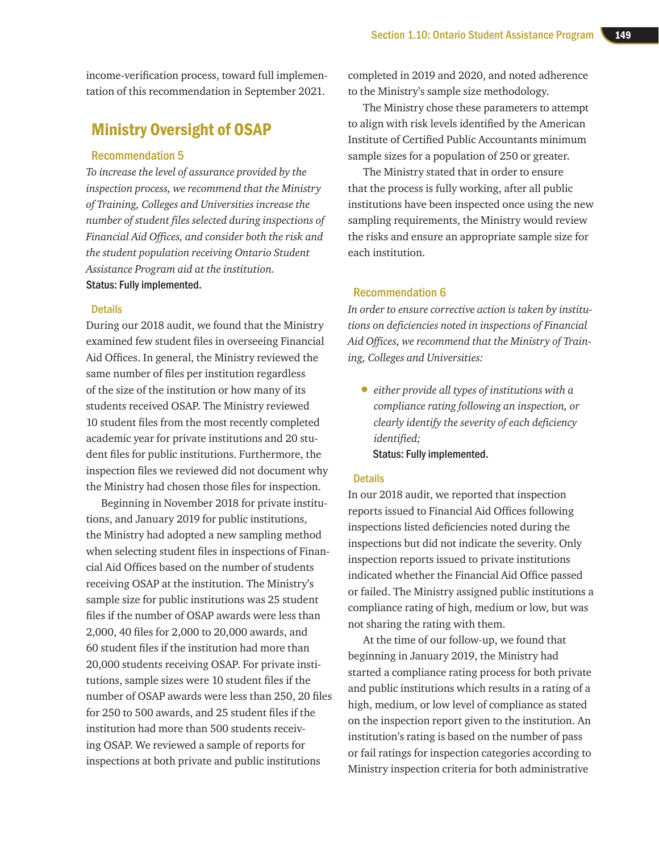income-verification process, toward full implementation of this recommendation in September 2021.

# Ministry Oversight of OSAP

#### Recommendation 5

*To increase the level of assurance provided by the inspection process, we recommend that the Ministry of Training, Colleges and Universities increase the number of student files selected during inspections of Financial Aid Offices, and consider both the risk and the student population receiving Ontario Student Assistance Program aid at the institution.* Status: Fully implemented.

#### **Details**

During our 2018 audit, we found that the Ministry examined few student files in overseeing Financial Aid Offices. In general, the Ministry reviewed the same number of files per institution regardless of the size of the institution or how many of its students received OSAP. The Ministry reviewed 10 student files from the most recently completed academic year for private institutions and 20 student files for public institutions. Furthermore, the inspection files we reviewed did not document why the Ministry had chosen those files for inspection.

Beginning in November 2018 for private institutions, and January 2019 for public institutions, the Ministry had adopted a new sampling method when selecting student files in inspections of Financial Aid Offices based on the number of students receiving OSAP at the institution. The Ministry's sample size for public institutions was 25 student files if the number of OSAP awards were less than 2,000, 40 files for 2,000 to 20,000 awards, and 60 student files if the institution had more than 20,000 students receiving OSAP. For private institutions, sample sizes were 10 student files if the number of OSAP awards were less than 250, 20 files for 250 to 500 awards, and 25 student files if the institution had more than 500 students receiving OSAP. We reviewed a sample of reports for inspections at both private and public institutions

completed in 2019 and 2020, and noted adherence to the Ministry's sample size methodology.

The Ministry chose these parameters to attempt to align with risk levels identified by the American Institute of Certified Public Accountants minimum sample sizes for a population of 250 or greater.

The Ministry stated that in order to ensure that the process is fully working, after all public institutions have been inspected once using the new sampling requirements, the Ministry would review the risks and ensure an appropriate sample size for each institution.

#### Recommendation 6

*In order to ensure corrective action is taken by institutions on deficiencies noted in inspections of Financial Aid Offices, we recommend that the Ministry of Training, Colleges and Universities:* 

• *either provide all types of institutions with a compliance rating following an inspection, or clearly identify the severity of each deficiency identified;* Status: Fully implemented.

#### **Details**

In our 2018 audit, we reported that inspection reports issued to Financial Aid Offices following inspections listed deficiencies noted during the inspections but did not indicate the severity. Only inspection reports issued to private institutions indicated whether the Financial Aid Office passed or failed. The Ministry assigned public institutions a compliance rating of high, medium or low, but was not sharing the rating with them.

At the time of our follow-up, we found that beginning in January 2019, the Ministry had started a compliance rating process for both private and public institutions which results in a rating of a high, medium, or low level of compliance as stated on the inspection report given to the institution. An institution's rating is based on the number of pass or fail ratings for inspection categories according to Ministry inspection criteria for both administrative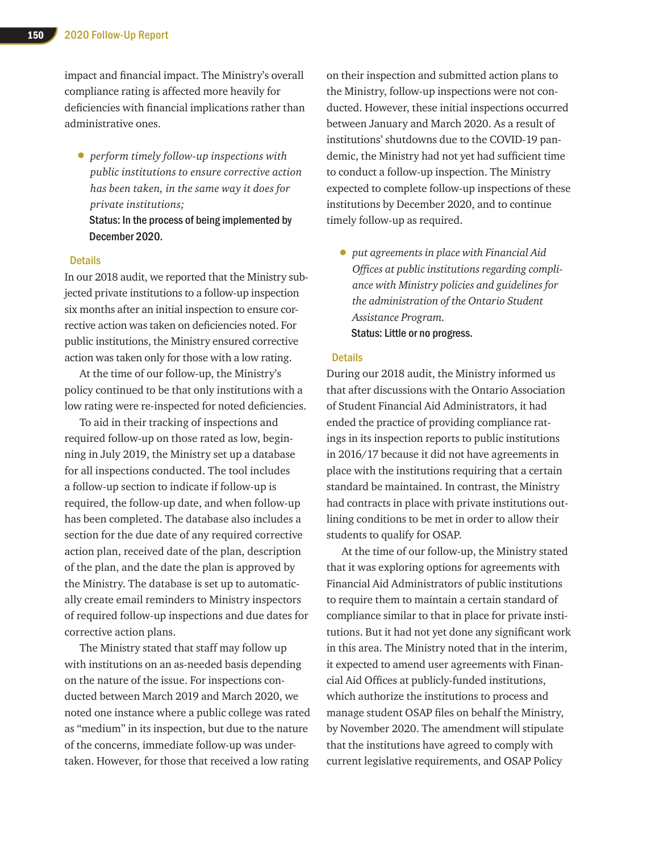impact and financial impact. The Ministry's overall compliance rating is affected more heavily for deficiencies with financial implications rather than administrative ones.

- *perform timely follow-up inspections with public institutions to ensure corrective action has been taken, in the same way it does for private institutions;*
	- Status: In the process of being implemented by December 2020.

#### **Details**

In our 2018 audit, we reported that the Ministry subjected private institutions to a follow-up inspection six months after an initial inspection to ensure corrective action was taken on deficiencies noted. For public institutions, the Ministry ensured corrective action was taken only for those with a low rating.

At the time of our follow-up, the Ministry's policy continued to be that only institutions with a low rating were re-inspected for noted deficiencies.

To aid in their tracking of inspections and required follow-up on those rated as low, beginning in July 2019, the Ministry set up a database for all inspections conducted. The tool includes a follow-up section to indicate if follow-up is required, the follow-up date, and when follow-up has been completed. The database also includes a section for the due date of any required corrective action plan, received date of the plan, description of the plan, and the date the plan is approved by the Ministry. The database is set up to automatically create email reminders to Ministry inspectors of required follow-up inspections and due dates for corrective action plans.

The Ministry stated that staff may follow up with institutions on an as-needed basis depending on the nature of the issue. For inspections conducted between March 2019 and March 2020, we noted one instance where a public college was rated as "medium" in its inspection, but due to the nature of the concerns, immediate follow-up was undertaken. However, for those that received a low rating

on their inspection and submitted action plans to the Ministry, follow-up inspections were not conducted. However, these initial inspections occurred between January and March 2020. As a result of institutions' shutdowns due to the COVID-19 pandemic, the Ministry had not yet had sufficient time to conduct a follow-up inspection. The Ministry expected to complete follow-up inspections of these institutions by December 2020, and to continue timely follow-up as required.

• *put agreements in place with Financial Aid Offices at public institutions regarding compliance with Ministry policies and guidelines for the administration of the Ontario Student Assistance Program.*  Status: Little or no progress.

#### **Details**

During our 2018 audit, the Ministry informed us that after discussions with the Ontario Association of Student Financial Aid Administrators, it had ended the practice of providing compliance ratings in its inspection reports to public institutions in 2016/17 because it did not have agreements in place with the institutions requiring that a certain standard be maintained. In contrast, the Ministry had contracts in place with private institutions outlining conditions to be met in order to allow their students to qualify for OSAP.

At the time of our follow-up, the Ministry stated that it was exploring options for agreements with Financial Aid Administrators of public institutions to require them to maintain a certain standard of compliance similar to that in place for private institutions. But it had not yet done any significant work in this area. The Ministry noted that in the interim, it expected to amend user agreements with Financial Aid Offices at publicly-funded institutions, which authorize the institutions to process and manage student OSAP files on behalf the Ministry, by November 2020. The amendment will stipulate that the institutions have agreed to comply with current legislative requirements, and OSAP Policy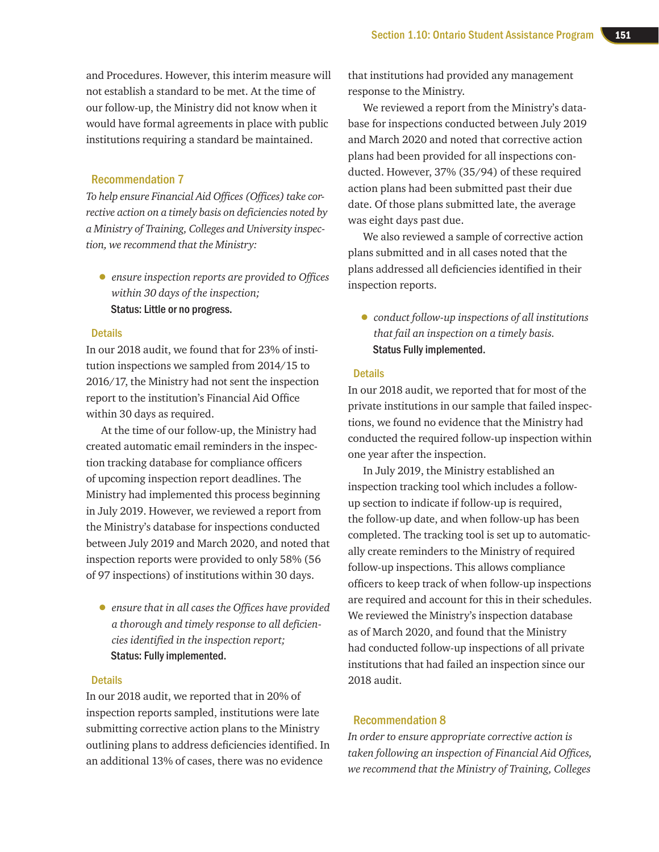and Procedures. However, this interim measure will not establish a standard to be met. At the time of our follow-up, the Ministry did not know when it would have formal agreements in place with public institutions requiring a standard be maintained.

#### Recommendation 7

*To help ensure Financial Aid Offices (Offices) take corrective action on a timely basis on deficiencies noted by a Ministry of Training, Colleges and University inspection, we recommend that the Ministry:* 

• *ensure inspection reports are provided to Offices within 30 days of the inspection;*  Status: Little or no progress.

#### **Details**

In our 2018 audit, we found that for 23% of institution inspections we sampled from 2014/15 to 2016/17, the Ministry had not sent the inspection report to the institution's Financial Aid Office within 30 days as required.

At the time of our follow-up, the Ministry had created automatic email reminders in the inspection tracking database for compliance officers of upcoming inspection report deadlines. The Ministry had implemented this process beginning in July 2019. However, we reviewed a report from the Ministry's database for inspections conducted between July 2019 and March 2020, and noted that inspection reports were provided to only 58% (56 of 97 inspections) of institutions within 30 days.

• *ensure that in all cases the Offices have provided a thorough and timely response to all deficiencies identified in the inspection report;*  Status: Fully implemented.

#### **Details**

In our 2018 audit, we reported that in 20% of inspection reports sampled, institutions were late submitting corrective action plans to the Ministry outlining plans to address deficiencies identified. In an additional 13% of cases, there was no evidence

that institutions had provided any management response to the Ministry.

We reviewed a report from the Ministry's database for inspections conducted between July 2019 and March 2020 and noted that corrective action plans had been provided for all inspections conducted. However, 37% (35/94) of these required action plans had been submitted past their due date. Of those plans submitted late, the average was eight days past due.

We also reviewed a sample of corrective action plans submitted and in all cases noted that the plans addressed all deficiencies identified in their inspection reports.

• *conduct follow-up inspections of all institutions that fail an inspection on a timely basis.*  Status Fully implemented.

#### **Details**

In our 2018 audit, we reported that for most of the private institutions in our sample that failed inspections, we found no evidence that the Ministry had conducted the required follow-up inspection within one year after the inspection.

In July 2019, the Ministry established an inspection tracking tool which includes a followup section to indicate if follow-up is required, the follow-up date, and when follow-up has been completed. The tracking tool is set up to automatically create reminders to the Ministry of required follow-up inspections. This allows compliance officers to keep track of when follow-up inspections are required and account for this in their schedules. We reviewed the Ministry's inspection database as of March 2020, and found that the Ministry had conducted follow-up inspections of all private institutions that had failed an inspection since our 2018 audit.

#### Recommendation 8

*In order to ensure appropriate corrective action is taken following an inspection of Financial Aid Offices, we recommend that the Ministry of Training, Colleges*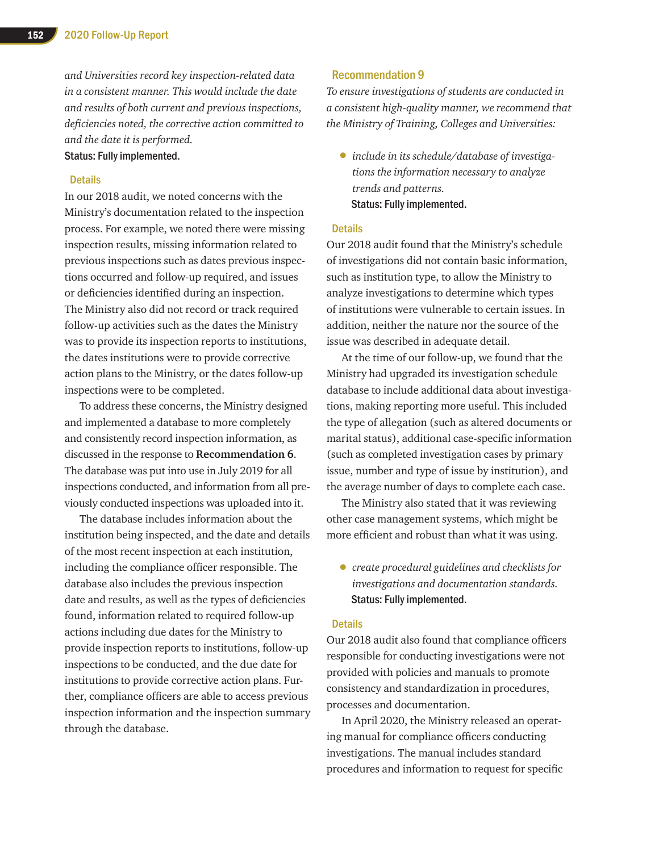*and Universities record key inspection-related data in a consistent manner. This would include the date and results of both current and previous inspections, deficiencies noted, the corrective action committed to and the date it is performed.* Status: Fully implemented.

#### **Details**

In our 2018 audit, we noted concerns with the Ministry's documentation related to the inspection process. For example, we noted there were missing inspection results, missing information related to previous inspections such as dates previous inspections occurred and follow-up required, and issues or deficiencies identified during an inspection. The Ministry also did not record or track required follow-up activities such as the dates the Ministry was to provide its inspection reports to institutions, the dates institutions were to provide corrective action plans to the Ministry, or the dates follow-up inspections were to be completed.

To address these concerns, the Ministry designed and implemented a database to more completely and consistently record inspection information, as discussed in the response to **Recommendation 6**. The database was put into use in July 2019 for all inspections conducted, and information from all previously conducted inspections was uploaded into it.

The database includes information about the institution being inspected, and the date and details of the most recent inspection at each institution, including the compliance officer responsible. The database also includes the previous inspection date and results, as well as the types of deficiencies found, information related to required follow-up actions including due dates for the Ministry to provide inspection reports to institutions, follow-up inspections to be conducted, and the due date for institutions to provide corrective action plans. Further, compliance officers are able to access previous inspection information and the inspection summary through the database.

#### Recommendation 9

*To ensure investigations of students are conducted in a consistent high-quality manner, we recommend that the Ministry of Training, Colleges and Universities:*

• *include in its schedule/database of investigations the information necessary to analyze trends and patterns.* Status: Fully implemented.

#### **Details**

Our 2018 audit found that the Ministry's schedule of investigations did not contain basic information, such as institution type, to allow the Ministry to analyze investigations to determine which types of institutions were vulnerable to certain issues. In addition, neither the nature nor the source of the issue was described in adequate detail.

At the time of our follow-up, we found that the Ministry had upgraded its investigation schedule database to include additional data about investigations, making reporting more useful. This included the type of allegation (such as altered documents or marital status), additional case-specific information (such as completed investigation cases by primary issue, number and type of issue by institution), and the average number of days to complete each case.

The Ministry also stated that it was reviewing other case management systems, which might be more efficient and robust than what it was using.

• *create procedural guidelines and checklists for investigations and documentation standards.*  Status: Fully implemented.

#### **Details**

Our 2018 audit also found that compliance officers responsible for conducting investigations were not provided with policies and manuals to promote consistency and standardization in procedures, processes and documentation.

In April 2020, the Ministry released an operating manual for compliance officers conducting investigations. The manual includes standard procedures and information to request for specific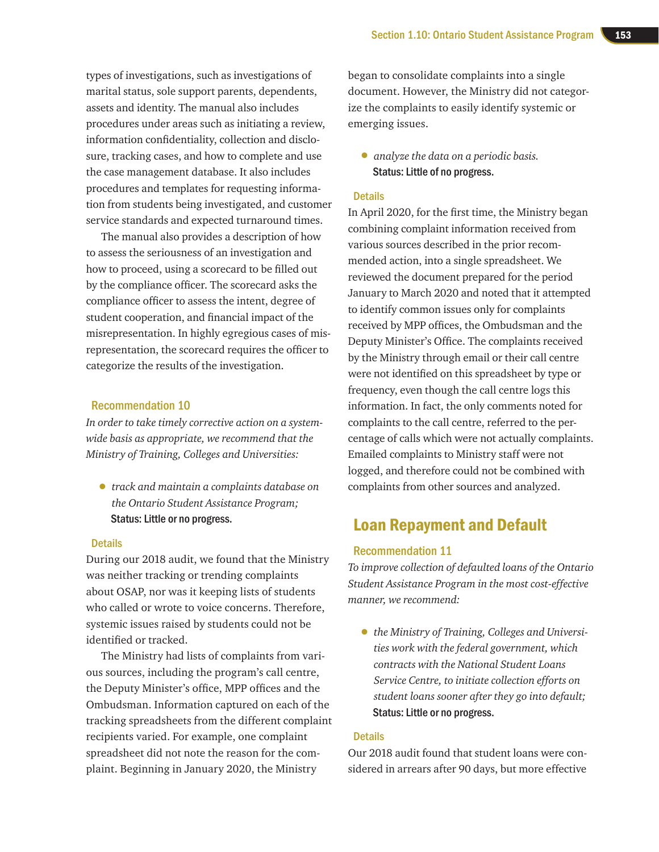types of investigations, such as investigations of marital status, sole support parents, dependents, assets and identity. The manual also includes procedures under areas such as initiating a review, information confidentiality, collection and disclosure, tracking cases, and how to complete and use the case management database. It also includes procedures and templates for requesting information from students being investigated, and customer service standards and expected turnaround times.

The manual also provides a description of how to assess the seriousness of an investigation and how to proceed, using a scorecard to be filled out by the compliance officer. The scorecard asks the compliance officer to assess the intent, degree of student cooperation, and financial impact of the misrepresentation. In highly egregious cases of misrepresentation, the scorecard requires the officer to categorize the results of the investigation.

#### Recommendation 10

*In order to take timely corrective action on a systemwide basis as appropriate, we recommend that the Ministry of Training, Colleges and Universities:* 

• *track and maintain a complaints database on the Ontario Student Assistance Program;* Status: Little or no progress.

#### **Details**

During our 2018 audit, we found that the Ministry was neither tracking or trending complaints about OSAP, nor was it keeping lists of students who called or wrote to voice concerns. Therefore, systemic issues raised by students could not be identified or tracked.

The Ministry had lists of complaints from various sources, including the program's call centre, the Deputy Minister's office, MPP offices and the Ombudsman. Information captured on each of the tracking spreadsheets from the different complaint recipients varied. For example, one complaint spreadsheet did not note the reason for the complaint. Beginning in January 2020, the Ministry

began to consolidate complaints into a single document. However, the Ministry did not categorize the complaints to easily identify systemic or emerging issues.

• *analyze the data on a periodic basis.*  Status: Little of no progress.

#### **Details**

In April 2020, for the first time, the Ministry began combining complaint information received from various sources described in the prior recommended action, into a single spreadsheet. We reviewed the document prepared for the period January to March 2020 and noted that it attempted to identify common issues only for complaints received by MPP offices, the Ombudsman and the Deputy Minister's Office. The complaints received by the Ministry through email or their call centre were not identified on this spreadsheet by type or frequency, even though the call centre logs this information. In fact, the only comments noted for complaints to the call centre, referred to the percentage of calls which were not actually complaints. Emailed complaints to Ministry staff were not logged, and therefore could not be combined with complaints from other sources and analyzed.

# Loan Repayment and Default

#### Recommendation 11

*To improve collection of defaulted loans of the Ontario Student Assistance Program in the most cost-effective manner, we recommend:* 

• *the Ministry of Training, Colleges and Universities work with the federal government, which contracts with the National Student Loans Service Centre, to initiate collection efforts on student loans sooner after they go into default;* Status: Little or no progress.

#### **Details**

Our 2018 audit found that student loans were considered in arrears after 90 days, but more effective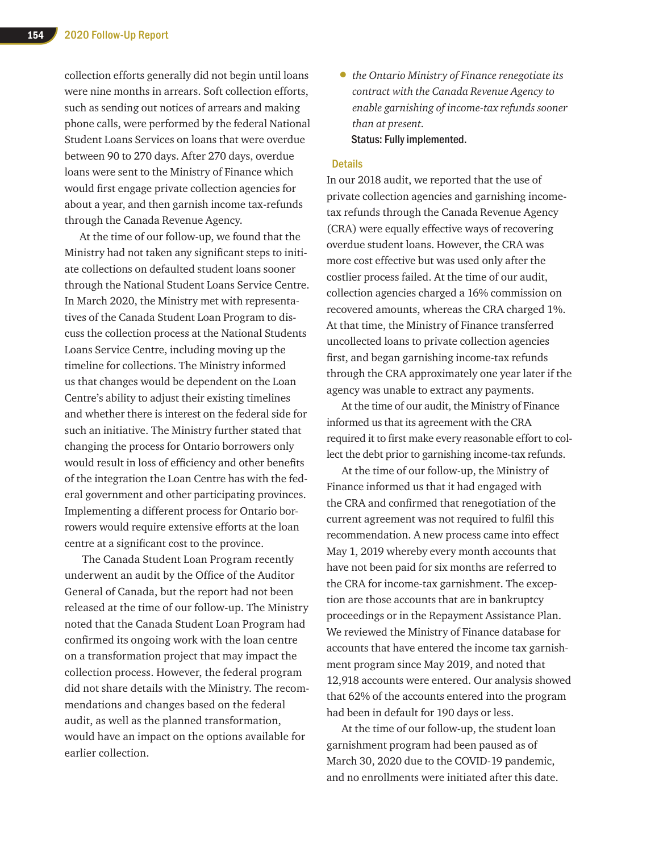collection efforts generally did not begin until loans were nine months in arrears. Soft collection efforts, such as sending out notices of arrears and making phone calls, were performed by the federal National Student Loans Services on loans that were overdue between 90 to 270 days. After 270 days, overdue loans were sent to the Ministry of Finance which would first engage private collection agencies for about a year, and then garnish income tax-refunds through the Canada Revenue Agency.

At the time of our follow-up, we found that the Ministry had not taken any significant steps to initiate collections on defaulted student loans sooner through the National Student Loans Service Centre. In March 2020, the Ministry met with representatives of the Canada Student Loan Program to discuss the collection process at the National Students Loans Service Centre, including moving up the timeline for collections. The Ministry informed us that changes would be dependent on the Loan Centre's ability to adjust their existing timelines and whether there is interest on the federal side for such an initiative. The Ministry further stated that changing the process for Ontario borrowers only would result in loss of efficiency and other benefits of the integration the Loan Centre has with the federal government and other participating provinces. Implementing a different process for Ontario borrowers would require extensive efforts at the loan centre at a significant cost to the province.

 The Canada Student Loan Program recently underwent an audit by the Office of the Auditor General of Canada, but the report had not been released at the time of our follow-up. The Ministry noted that the Canada Student Loan Program had confirmed its ongoing work with the loan centre on a transformation project that may impact the collection process. However, the federal program did not share details with the Ministry. The recommendations and changes based on the federal audit, as well as the planned transformation, would have an impact on the options available for earlier collection.

• *the Ontario Ministry of Finance renegotiate its contract with the Canada Revenue Agency to enable garnishing of income-tax refunds sooner than at present.*  Status: Fully implemented.

#### **Details**

In our 2018 audit, we reported that the use of private collection agencies and garnishing incometax refunds through the Canada Revenue Agency (CRA) were equally effective ways of recovering overdue student loans. However, the CRA was more cost effective but was used only after the costlier process failed. At the time of our audit, collection agencies charged a 16% commission on recovered amounts, whereas the CRA charged 1%. At that time, the Ministry of Finance transferred uncollected loans to private collection agencies first, and began garnishing income-tax refunds through the CRA approximately one year later if the agency was unable to extract any payments.

At the time of our audit, the Ministry of Finance informed us that its agreement with the CRA required it to first make every reasonable effort to collect the debt prior to garnishing income-tax refunds.

At the time of our follow-up, the Ministry of Finance informed us that it had engaged with the CRA and confirmed that renegotiation of the current agreement was not required to fulfil this recommendation. A new process came into effect May 1, 2019 whereby every month accounts that have not been paid for six months are referred to the CRA for income-tax garnishment. The exception are those accounts that are in bankruptcy proceedings or in the Repayment Assistance Plan. We reviewed the Ministry of Finance database for accounts that have entered the income tax garnishment program since May 2019, and noted that 12,918 accounts were entered. Our analysis showed that 62% of the accounts entered into the program had been in default for 190 days or less.

At the time of our follow-up, the student loan garnishment program had been paused as of March 30, 2020 due to the COVID-19 pandemic, and no enrollments were initiated after this date.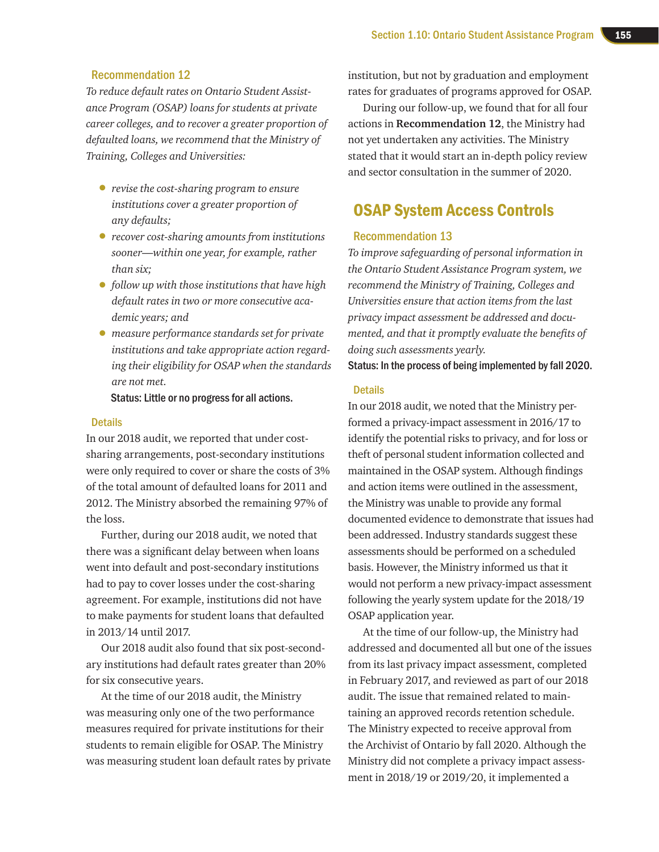#### Recommendation 12

*To reduce default rates on Ontario Student Assistance Program (OSAP) loans for students at private career colleges, and to recover a greater proportion of defaulted loans, we recommend that the Ministry of Training, Colleges and Universities:* 

- *revise the cost-sharing program to ensure institutions cover a greater proportion of any defaults;*
- *recover cost-sharing amounts from institutions sooner—within one year, for example, rather than six;*
- *follow up with those institutions that have high default rates in two or more consecutive academic years; and*
- *measure performance standards set for private institutions and take appropriate action regarding their eligibility for OSAP when the standards are not met.*

Status: Little or no progress for all actions.

#### **Details**

In our 2018 audit, we reported that under costsharing arrangements, post-secondary institutions were only required to cover or share the costs of 3% of the total amount of defaulted loans for 2011 and 2012. The Ministry absorbed the remaining 97% of the loss.

Further, during our 2018 audit, we noted that there was a significant delay between when loans went into default and post-secondary institutions had to pay to cover losses under the cost-sharing agreement. For example, institutions did not have to make payments for student loans that defaulted in 2013/14 until 2017.

Our 2018 audit also found that six post-secondary institutions had default rates greater than 20% for six consecutive years.

At the time of our 2018 audit, the Ministry was measuring only one of the two performance measures required for private institutions for their students to remain eligible for OSAP. The Ministry was measuring student loan default rates by private

institution, but not by graduation and employment rates for graduates of programs approved for OSAP.

During our follow-up, we found that for all four actions in **Recommendation 12**, the Ministry had not yet undertaken any activities. The Ministry stated that it would start an in-depth policy review and sector consultation in the summer of 2020.

# OSAP System Access Controls

#### Recommendation 13

*To improve safeguarding of personal information in the Ontario Student Assistance Program system, we recommend the Ministry of Training, Colleges and Universities ensure that action items from the last privacy impact assessment be addressed and documented, and that it promptly evaluate the benefits of doing such assessments yearly.*

Status: In the process of being implemented by fall 2020.

#### **Details**

In our 2018 audit, we noted that the Ministry performed a privacy-impact assessment in 2016/17 to identify the potential risks to privacy, and for loss or theft of personal student information collected and maintained in the OSAP system. Although findings and action items were outlined in the assessment, the Ministry was unable to provide any formal documented evidence to demonstrate that issues had been addressed. Industry standards suggest these assessments should be performed on a scheduled basis. However, the Ministry informed us that it would not perform a new privacy-impact assessment following the yearly system update for the 2018/19 OSAP application year.

At the time of our follow-up, the Ministry had addressed and documented all but one of the issues from its last privacy impact assessment, completed in February 2017, and reviewed as part of our 2018 audit. The issue that remained related to maintaining an approved records retention schedule. The Ministry expected to receive approval from the Archivist of Ontario by fall 2020. Although the Ministry did not complete a privacy impact assessment in 2018/19 or 2019/20, it implemented a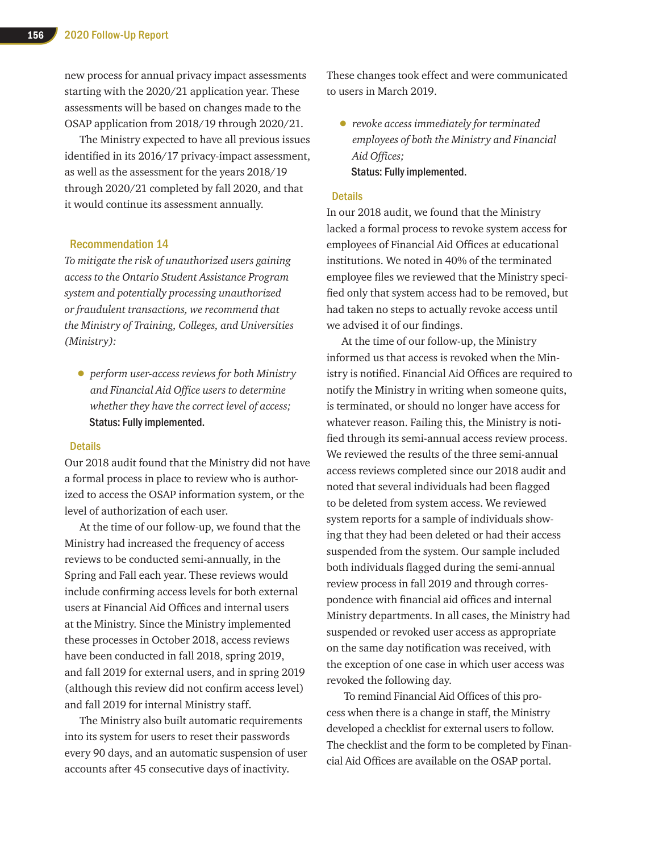new process for annual privacy impact assessments starting with the 2020/21 application year. These assessments will be based on changes made to the OSAP application from 2018/19 through 2020/21.

The Ministry expected to have all previous issues identified in its 2016/17 privacy-impact assessment, as well as the assessment for the years 2018/19 through 2020/21 completed by fall 2020, and that it would continue its assessment annually.

#### Recommendation 14

*To mitigate the risk of unauthorized users gaining access to the Ontario Student Assistance Program system and potentially processing unauthorized or fraudulent transactions, we recommend that the Ministry of Training, Colleges, and Universities (Ministry):*

• *perform user-access reviews for both Ministry and Financial Aid Office users to determine whether they have the correct level of access;* Status: Fully implemented.

#### **Details**

Our 2018 audit found that the Ministry did not have a formal process in place to review who is authorized to access the OSAP information system, or the level of authorization of each user.

At the time of our follow-up, we found that the Ministry had increased the frequency of access reviews to be conducted semi-annually, in the Spring and Fall each year. These reviews would include confirming access levels for both external users at Financial Aid Offices and internal users at the Ministry. Since the Ministry implemented these processes in October 2018, access reviews have been conducted in fall 2018, spring 2019, and fall 2019 for external users, and in spring 2019 (although this review did not confirm access level) and fall 2019 for internal Ministry staff.

The Ministry also built automatic requirements into its system for users to reset their passwords every 90 days, and an automatic suspension of user accounts after 45 consecutive days of inactivity.

These changes took effect and were communicated to users in March 2019.

• *revoke access immediately for terminated employees of both the Ministry and Financial Aid Offices;*  Status: Fully implemented.

#### **Details**

In our 2018 audit, we found that the Ministry lacked a formal process to revoke system access for employees of Financial Aid Offices at educational institutions. We noted in 40% of the terminated employee files we reviewed that the Ministry specified only that system access had to be removed, but had taken no steps to actually revoke access until we advised it of our findings.

At the time of our follow-up, the Ministry informed us that access is revoked when the Ministry is notified. Financial Aid Offices are required to notify the Ministry in writing when someone quits, is terminated, or should no longer have access for whatever reason. Failing this, the Ministry is notified through its semi-annual access review process. We reviewed the results of the three semi-annual access reviews completed since our 2018 audit and noted that several individuals had been flagged to be deleted from system access. We reviewed system reports for a sample of individuals showing that they had been deleted or had their access suspended from the system. Our sample included both individuals flagged during the semi-annual review process in fall 2019 and through correspondence with financial aid offices and internal Ministry departments. In all cases, the Ministry had suspended or revoked user access as appropriate on the same day notification was received, with the exception of one case in which user access was revoked the following day.

 To remind Financial Aid Offices of this process when there is a change in staff, the Ministry developed a checklist for external users to follow. The checklist and the form to be completed by Financial Aid Offices are available on the OSAP portal.